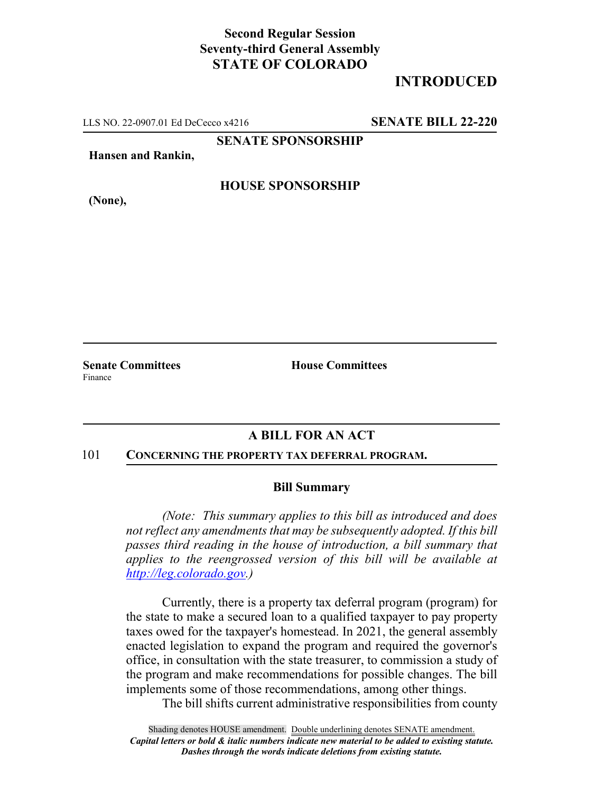# **Second Regular Session Seventy-third General Assembly STATE OF COLORADO**

# **INTRODUCED**

LLS NO. 22-0907.01 Ed DeCecco x4216 **SENATE BILL 22-220**

**SENATE SPONSORSHIP**

**Hansen and Rankin,**

### **HOUSE SPONSORSHIP**

**(None),**

Finance

**Senate Committees House Committees** 

## **A BILL FOR AN ACT**

#### 101 **CONCERNING THE PROPERTY TAX DEFERRAL PROGRAM.**

#### **Bill Summary**

*(Note: This summary applies to this bill as introduced and does not reflect any amendments that may be subsequently adopted. If this bill passes third reading in the house of introduction, a bill summary that applies to the reengrossed version of this bill will be available at http://leg.colorado.gov.)*

Currently, there is a property tax deferral program (program) for the state to make a secured loan to a qualified taxpayer to pay property taxes owed for the taxpayer's homestead. In 2021, the general assembly enacted legislation to expand the program and required the governor's office, in consultation with the state treasurer, to commission a study of the program and make recommendations for possible changes. The bill implements some of those recommendations, among other things.

The bill shifts current administrative responsibilities from county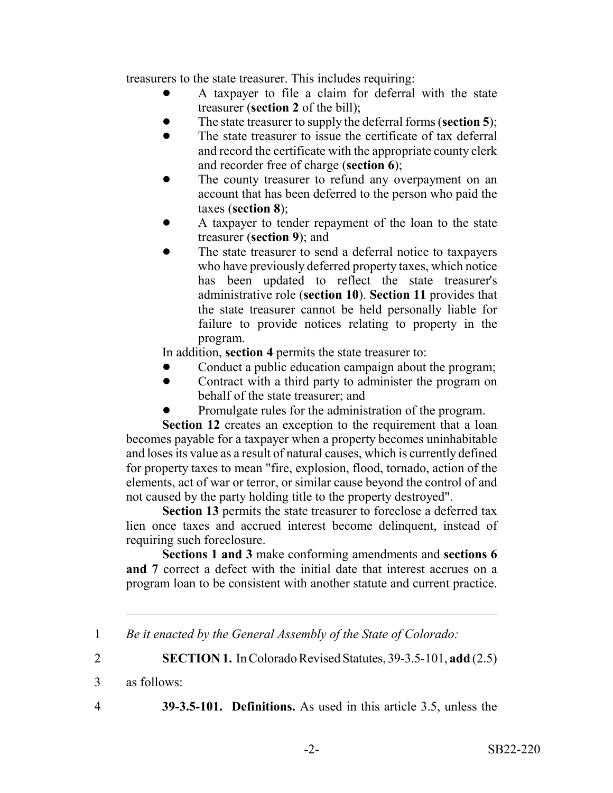treasurers to the state treasurer. This includes requiring:

- ! A taxpayer to file a claim for deferral with the state treasurer (**section 2** of the bill);
- ! The state treasurer to supply the deferral forms (**section 5**);
- The state treasurer to issue the certificate of tax deferral and record the certificate with the appropriate county clerk and recorder free of charge (**section 6**);
- The county treasurer to refund any overpayment on an account that has been deferred to the person who paid the taxes (**section 8**);
- ! A taxpayer to tender repayment of the loan to the state treasurer (**section 9**); and
- The state treasurer to send a deferral notice to taxpayers who have previously deferred property taxes, which notice has been updated to reflect the state treasurer's administrative role (**section 10**). **Section 11** provides that the state treasurer cannot be held personally liable for failure to provide notices relating to property in the program.

In addition, **section 4** permits the state treasurer to:

- Conduct a public education campaign about the program;
- ! Contract with a third party to administer the program on behalf of the state treasurer; and
- Promulgate rules for the administration of the program.

**Section 12** creates an exception to the requirement that a loan becomes payable for a taxpayer when a property becomes uninhabitable and loses its value as a result of natural causes, which is currently defined for property taxes to mean "fire, explosion, flood, tornado, action of the elements, act of war or terror, or similar cause beyond the control of and not caused by the party holding title to the property destroyed".

**Section 13** permits the state treasurer to foreclose a deferred tax lien once taxes and accrued interest become delinquent, instead of requiring such foreclosure.

**Sections 1 and 3** make conforming amendments and **sections 6 and 7** correct a defect with the initial date that interest accrues on a program loan to be consistent with another statute and current practice.

2 **SECTION 1.** In Colorado Revised Statutes, 39-3.5-101, **add** (2.5)

3 as follows:

4 **39-3.5-101. Definitions.** As used in this article 3.5, unless the

<sup>1</sup> *Be it enacted by the General Assembly of the State of Colorado:*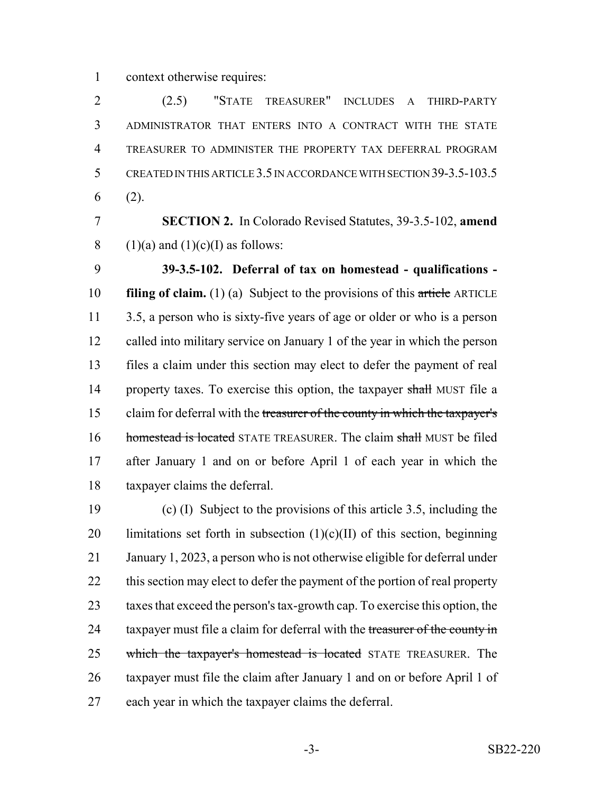context otherwise requires:

 (2.5) "STATE TREASURER" INCLUDES A THIRD-PARTY ADMINISTRATOR THAT ENTERS INTO A CONTRACT WITH THE STATE TREASURER TO ADMINISTER THE PROPERTY TAX DEFERRAL PROGRAM CREATED IN THIS ARTICLE 3.5 IN ACCORDANCE WITH SECTION 39-3.5-103.5 (2).

 **SECTION 2.** In Colorado Revised Statutes, 39-3.5-102, **amend** 8 (1)(a) and (1)(c)(I) as follows:

 **39-3.5-102. Deferral of tax on homestead - qualifications - filing of claim.** (1) (a) Subject to the provisions of this article ARTICLE 3.5, a person who is sixty-five years of age or older or who is a person called into military service on January 1 of the year in which the person files a claim under this section may elect to defer the payment of real 14 property taxes. To exercise this option, the taxpayer shall MUST file a 15 claim for deferral with the treasurer of the county in which the taxpayer's 16 homestead is located STATE TREASURER. The claim shall MUST be filed after January 1 and on or before April 1 of each year in which the taxpayer claims the deferral.

 (c) (I) Subject to the provisions of this article 3.5, including the 20 limitations set forth in subsection  $(1)(c)(II)$  of this section, beginning January 1, 2023, a person who is not otherwise eligible for deferral under 22 this section may elect to defer the payment of the portion of real property taxes that exceed the person's tax-growth cap. To exercise this option, the 24 taxpayer must file a claim for deferral with the treasurer of the county in 25 which the taxpayer's homestead is located STATE TREASURER. The taxpayer must file the claim after January 1 and on or before April 1 of each year in which the taxpayer claims the deferral.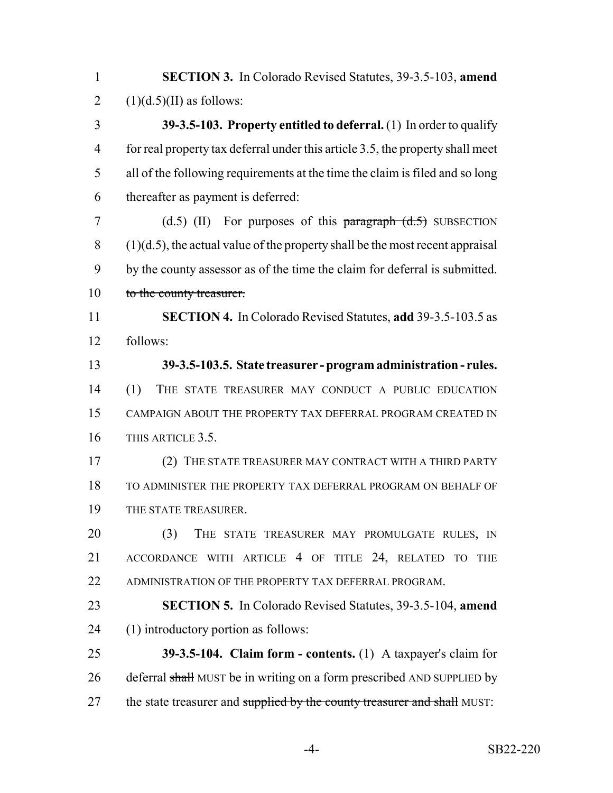| $\mathbf{1}$   | <b>SECTION 3.</b> In Colorado Revised Statutes, 39-3.5-103, amend                |
|----------------|----------------------------------------------------------------------------------|
| $\overline{2}$ | $(1)(d.5)(II)$ as follows:                                                       |
| 3              | 39-3.5-103. Property entitled to deferral. $(1)$ In order to qualify             |
| $\overline{4}$ | for real property tax deferral under this article 3.5, the property shall meet   |
| 5              | all of the following requirements at the time the claim is filed and so long     |
| 6              | thereafter as payment is deferred:                                               |
| 7              | $(d.5)$ (II) For purposes of this paragraph $(d.5)$ SUBSECTION                   |
| 8              | $(1)(d.5)$ , the actual value of the property shall be the most recent appraisal |
| 9              | by the county assessor as of the time the claim for deferral is submitted.       |
| 10             | to the county treasurer.                                                         |
| 11             | <b>SECTION 4.</b> In Colorado Revised Statutes, add 39-3.5-103.5 as              |
| 12             | follows:                                                                         |
| 13             | 39-3.5-103.5. State treasurer - program administration - rules.                  |
| 14             | (1)<br>THE STATE TREASURER MAY CONDUCT A PUBLIC EDUCATION                        |
| 15             | CAMPAIGN ABOUT THE PROPERTY TAX DEFERRAL PROGRAM CREATED IN                      |
| 16             | THIS ARTICLE 3.5.                                                                |
| 17             | (2) THE STATE TREASURER MAY CONTRACT WITH A THIRD PARTY                          |
| 18             | TO ADMINISTER THE PROPERTY TAX DEFERRAL PROGRAM ON BEHALF OF                     |
| 19             | THE STATE TREASURER.                                                             |
| 20             | (3)<br>THE STATE TREASURER MAY PROMULGATE RULES, IN                              |
| 21             | ACCORDANCE WITH ARTICLE 4 OF TITLE 24, RELATED TO<br><b>THE</b>                  |
| 22             | ADMINISTRATION OF THE PROPERTY TAX DEFERRAL PROGRAM.                             |
| 23             | <b>SECTION 5.</b> In Colorado Revised Statutes, 39-3.5-104, amend                |
| 24             | (1) introductory portion as follows:                                             |
| 25             | 39-3.5-104. Claim form - contents. $(1)$ A taxpayer's claim for                  |
| 26             | deferral shall MUST be in writing on a form prescribed AND SUPPLIED by           |
| 27             | the state treasurer and supplied by the county treasurer and shall MUST:         |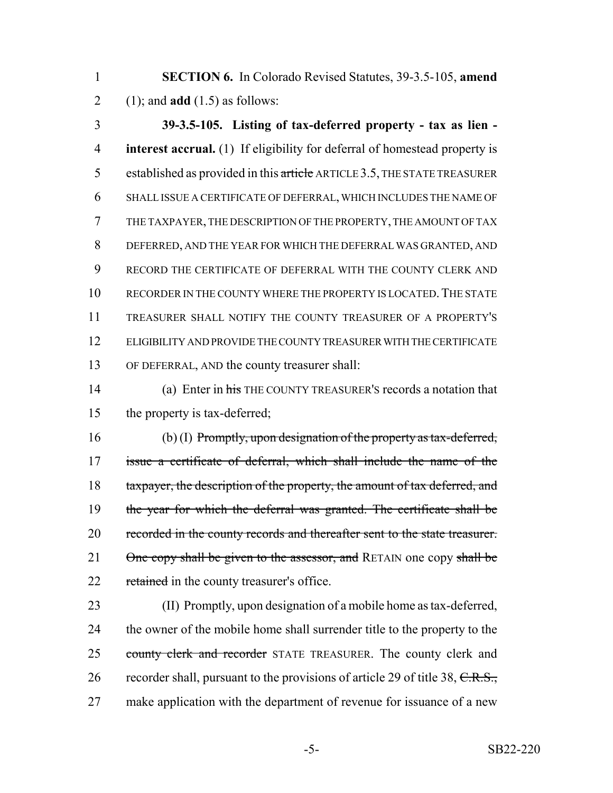1 **SECTION 6.** In Colorado Revised Statutes, 39-3.5-105, **amend** 2 (1); and **add** (1.5) as follows:

 **39-3.5-105. Listing of tax-deferred property - tax as lien - interest accrual.** (1) If eligibility for deferral of homestead property is 5 established as provided in this article ARTICLE 3.5, THE STATE TREASURER SHALL ISSUE A CERTIFICATE OF DEFERRAL, WHICH INCLUDES THE NAME OF THE TAXPAYER, THE DESCRIPTION OF THE PROPERTY, THE AMOUNT OF TAX DEFERRED, AND THE YEAR FOR WHICH THE DEFERRAL WAS GRANTED, AND RECORD THE CERTIFICATE OF DEFERRAL WITH THE COUNTY CLERK AND 10 RECORDER IN THE COUNTY WHERE THE PROPERTY IS LOCATED. THE STATE TREASURER SHALL NOTIFY THE COUNTY TREASURER OF A PROPERTY'S ELIGIBILITY AND PROVIDE THE COUNTY TREASURER WITH THE CERTIFICATE OF DEFERRAL, AND the county treasurer shall:

14 (a) Enter in his THE COUNTY TREASURER'S records a notation that 15 the property is tax-deferred;

16 (b) (I) Promptly, upon designation of the property as tax-deferred, 17 issue a certificate of deferral, which shall include the name of the 18 taxpayer, the description of the property, the amount of tax deferred, and 19 the year for which the deferral was granted. The certificate shall be 20 recorded in the county records and thereafter sent to the state treasurer. 21  $\theta$ ne copy shall be given to the assessor, and RETAIN one copy shall be 22 retained in the county treasurer's office.

23 (II) Promptly, upon designation of a mobile home as tax-deferred, 24 the owner of the mobile home shall surrender title to the property to the 25 county clerk and recorder STATE TREASURER. The county clerk and 26 recorder shall, pursuant to the provisions of article 29 of title 38, C.R.S., 27 make application with the department of revenue for issuance of a new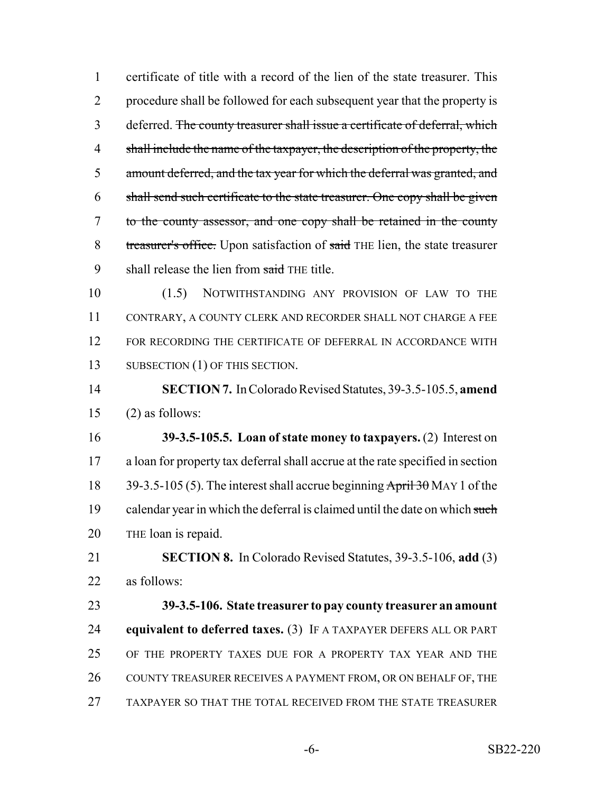certificate of title with a record of the lien of the state treasurer. This procedure shall be followed for each subsequent year that the property is deferred. The county treasurer shall issue a certificate of deferral, which shall include the name of the taxpayer, the description of the property, the amount deferred, and the tax year for which the deferral was granted, and shall send such certificate to the state treasurer. One copy shall be given to the county assessor, and one copy shall be retained in the county 8 treasurer's office. Upon satisfaction of said THE lien, the state treasurer 9 shall release the lien from said THE title.

 (1.5) NOTWITHSTANDING ANY PROVISION OF LAW TO THE CONTRARY, A COUNTY CLERK AND RECORDER SHALL NOT CHARGE A FEE FOR RECORDING THE CERTIFICATE OF DEFERRAL IN ACCORDANCE WITH 13 SUBSECTION (1) OF THIS SECTION.

 **SECTION 7.** In Colorado Revised Statutes, 39-3.5-105.5, **amend** (2) as follows:

 **39-3.5-105.5. Loan of state money to taxpayers.** (2) Interest on a loan for property tax deferral shall accrue at the rate specified in section 18 39-3.5-105 (5). The interest shall accrue beginning April 30 MAY 1 of the 19 calendar year in which the deferral is claimed until the date on which such 20 THE loan is repaid.

 **SECTION 8.** In Colorado Revised Statutes, 39-3.5-106, **add** (3) as follows:

 **39-3.5-106. State treasurer to pay county treasurer an amount equivalent to deferred taxes.** (3) IF A TAXPAYER DEFERS ALL OR PART OF THE PROPERTY TAXES DUE FOR A PROPERTY TAX YEAR AND THE 26 COUNTY TREASURER RECEIVES A PAYMENT FROM, OR ON BEHALF OF, THE TAXPAYER SO THAT THE TOTAL RECEIVED FROM THE STATE TREASURER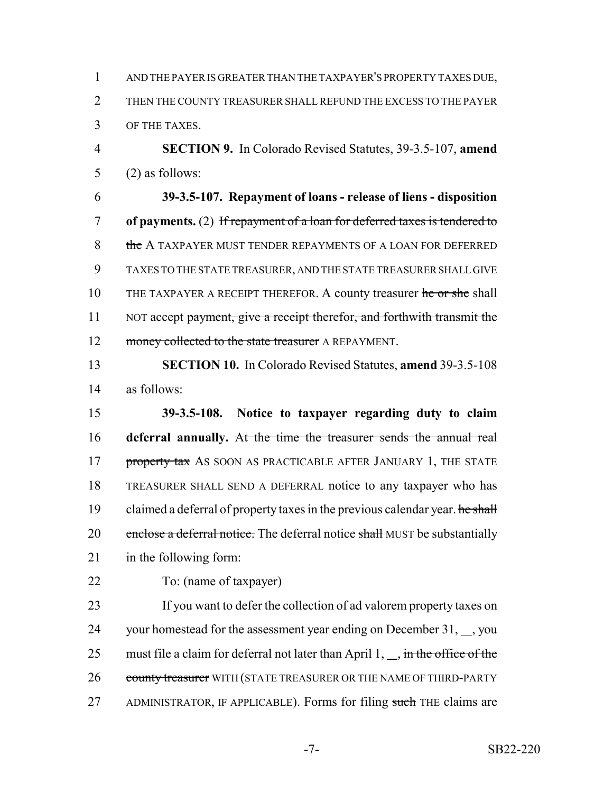1 AND THE PAYER IS GREATER THAN THE TAXPAYER'S PROPERTY TAXES DUE, 2 THEN THE COUNTY TREASURER SHALL REFUND THE EXCESS TO THE PAYER 3 OF THE TAXES.

4 **SECTION 9.** In Colorado Revised Statutes, 39-3.5-107, **amend** 5 (2) as follows:

6 **39-3.5-107. Repayment of loans - release of liens - disposition** 7 **of payments.** (2) If repayment of a loan for deferred taxes is tendered to 8 the A TAXPAYER MUST TENDER REPAYMENTS OF A LOAN FOR DEFERRED 9 TAXES TO THE STATE TREASURER, AND THE STATE TREASURER SHALL GIVE 10 THE TAXPAYER A RECEIPT THEREFOR. A county treasurer he or she shall 11 NOT accept payment, give a receipt therefor, and forthwith transmit the 12 money collected to the state treasurer A REPAYMENT.

13 **SECTION 10.** In Colorado Revised Statutes, **amend** 39-3.5-108 14 as follows:

15 **39-3.5-108. Notice to taxpayer regarding duty to claim** 16 **deferral annually.** At the time the treasurer sends the annual real 17 property tax AS SOON AS PRACTICABLE AFTER JANUARY 1, THE STATE 18 TREASURER SHALL SEND A DEFERRAL notice to any taxpayer who has 19 claimed a deferral of property taxes in the previous calendar year. he shall 20 enclose a deferral notice. The deferral notice shall MUST be substantially 21 in the following form:

22 To: (name of taxpayer)

23 If you want to defer the collection of ad valorem property taxes on 24 your homestead for the assessment year ending on December 31,  $\ldots$ , you 25 must file a claim for deferral not later than April  $1, \ldots$ , in the office of the 26 county treasurer WITH (STATE TREASURER OR THE NAME OF THIRD-PARTY 27 ADMINISTRATOR, IF APPLICABLE). Forms for filing such THE claims are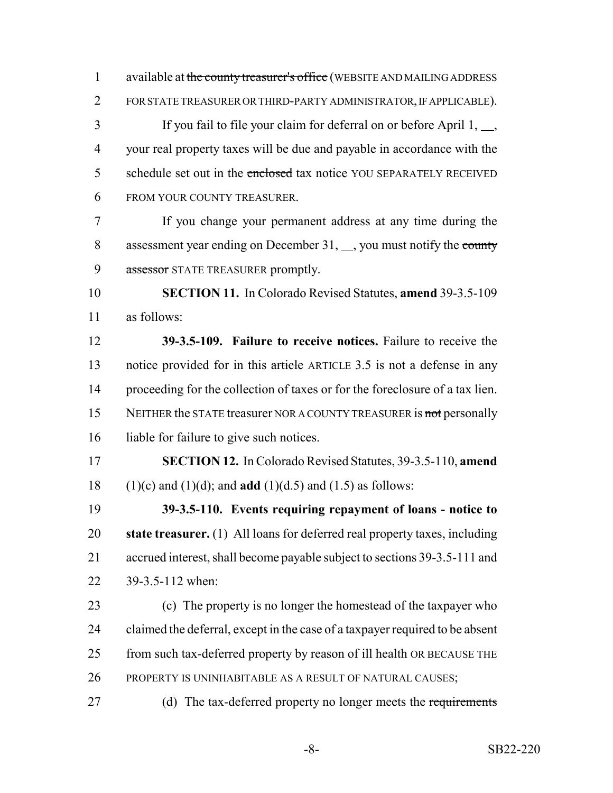1 available at the county treasurer's office (WEBSITE AND MAILING ADDRESS FOR STATE TREASURER OR THIRD-PARTY ADMINISTRATOR, IF APPLICABLE).

 If you fail to file your claim for deferral on or before April 1,  $\overline{\phantom{a}}$ , your real property taxes will be due and payable in accordance with the 5 schedule set out in the enclosed tax notice YOU SEPARATELY RECEIVED FROM YOUR COUNTY TREASURER.

 If you change your permanent address at any time during the 8 assessment year ending on December 31, sou must notify the county 9 assessor STATE TREASURER promptly.

 **SECTION 11.** In Colorado Revised Statutes, **amend** 39-3.5-109 as follows:

 **39-3.5-109. Failure to receive notices.** Failure to receive the 13 notice provided for in this article ARTICLE 3.5 is not a defense in any proceeding for the collection of taxes or for the foreclosure of a tax lien. 15 NEITHER the STATE treasurer NOR A COUNTY TREASURER is not personally 16 liable for failure to give such notices.

 **SECTION 12.** In Colorado Revised Statutes, 39-3.5-110, **amend** (1)(c) and (1)(d); and **add** (1)(d.5) and (1.5) as follows:

 **39-3.5-110. Events requiring repayment of loans - notice to state treasurer.** (1) All loans for deferred real property taxes, including accrued interest, shall become payable subject to sections 39-3.5-111 and 39-3.5-112 when:

 (c) The property is no longer the homestead of the taxpayer who claimed the deferral, except in the case of a taxpayer required to be absent from such tax-deferred property by reason of ill health OR BECAUSE THE PROPERTY IS UNINHABITABLE AS A RESULT OF NATURAL CAUSES;

27 (d) The tax-deferred property no longer meets the requirements